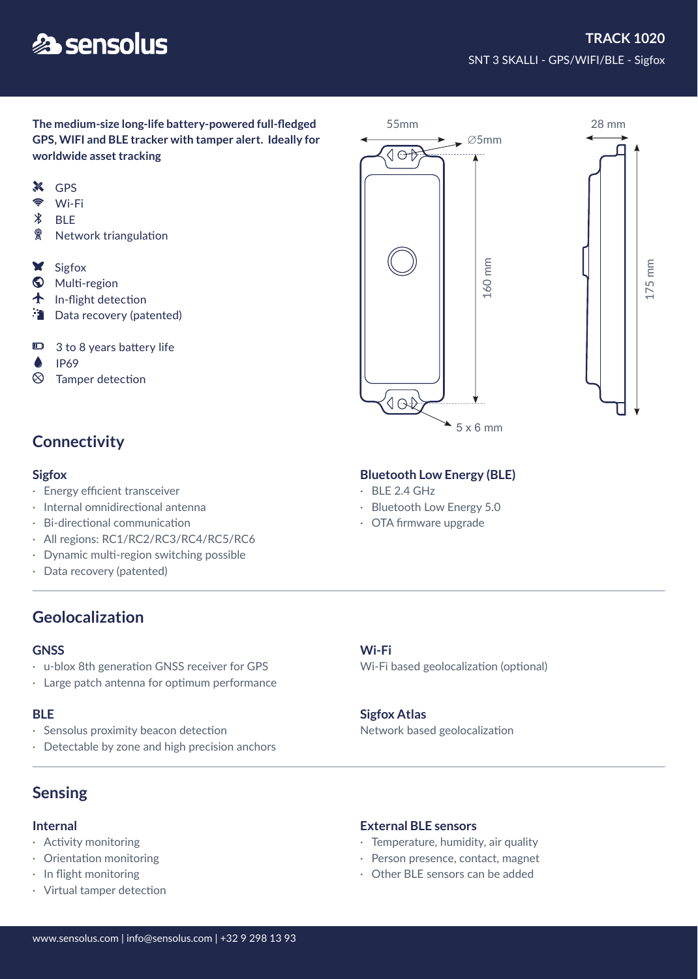# **A** sensolus

175 mm

**The medium-size long-life battery-powered full-fledged GPS, WIFI and BLE tracker with tamper alert. Ideally for worldwide asset tracking** 

- **X** GPS
- $\widehat{\mathbb{P}}$ Wi-Fi
- $\chi$ **BLE**
- $\circledR$ Network triangulation
- **X** Sigfox
- **W** Multi-region
- $\bigstar$  In-flight detection
- **Data recovery (patented)**
- $\blacksquare$ 3 to 8 years battery life
- Δ IP69
- $\otimes$ Tamper detection

# **Connectivity**

- · Energy efficient transceiver
- · Internal omnidirectional antenna
- · Bi-directional communication
- · All regions: RC1/RC2/RC3/RC4/RC5/RC6
- · Dynamic multi-region switching possible
- · Data recovery (patented)

# **Geolocalization**

### **GNSS**

- · u-blox 8th generation GNSS receiver for GPS
- · Large patch antenna for optimum performance

### **BLE**

- Sensolus proximity beacon detection
- · Detectable by zone and high precision anchors

# **Sensing**

### **Internal**

- · Activity monitoring
- · Orientation monitoring
- · In flight monitoring
- · Virtual tamper detection



- $\cdot$  BLE 2.4 GHz
- · Bluetooth Low Energy 5.0
- · OTA firmware upgrade

### **Wi-Fi**

Wi-Fi based geolocalization (optional)

### **Sigfox Atlas**

Network based geolocalization

### **External BLE sensors**

- · Temperature, humidity, air quality
- · Person presence, contact, magnet
- · Other BLE sensors can be added

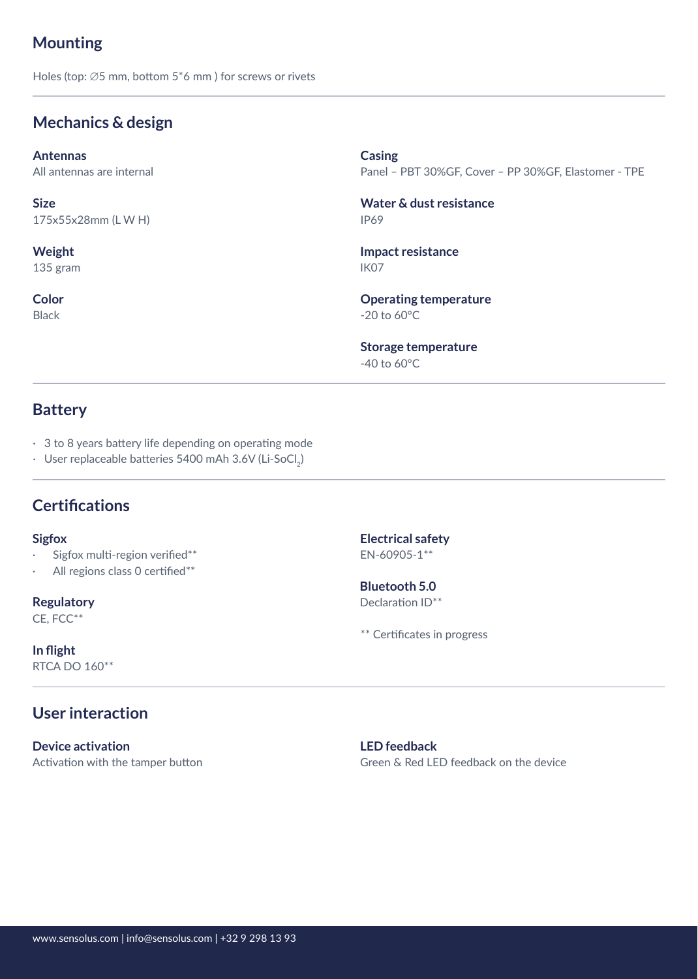# **Mounting**

Holes (top: ∅5 mm, bottom 5\*6 mm ) for screws or rivets

# **Mechanics & design**

**Antennas** All antennas are internal

175x55x28mm (L W H)

**Weight** 135 gram

**Color** Black

**Casing**

Panel – PBT 30%GF, Cover – PP 30%GF, Elastomer - TPE

IP69 **Size Water & dust resistance**

> IK07 **Impact resistance**

-20 to 60°C **Operating temperature**

-40 to 60°C **Storage temperature**

## **Battery**

- · 3 to 8 years battery life depending on operating mode
- · User replaceable batteries 5400 mAh 3.6V (Li-SoCl<sub>2</sub>)

# **Certifications**

- Sigfox multi-region verified\*\*
- All regions class 0 certified\*\*

**Regulatory** CE, FCC\*\*

**In flight** RTCA DO 160\*\*

# **User interaction**

**Device activation** Activation with the tamper button

**Sigfox Electrical safety** EN-60905-1\*\*

> Declaration ID\*\* **Bluetooth 5.0**

\*\* Certificates in progress

**LED feedback** Green & Red LED feedback on the device